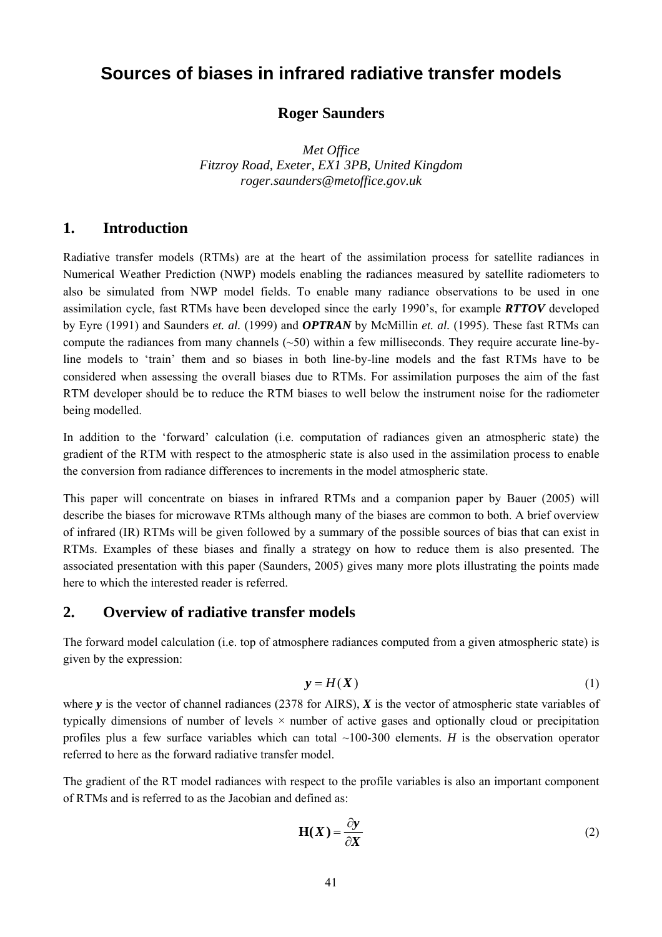# **Sources of biases in infrared radiative transfer models**

#### **Roger Saunders**

*Met Office Fitzroy Road, Exeter, EX1 3PB, United Kingdom roger.saunders@metoffice.gov.uk* 

#### **1. Introduction**

Radiative transfer models (RTMs) are at the heart of the assimilation process for satellite radiances in Numerical Weather Prediction (NWP) models enabling the radiances measured by satellite radiometers to also be simulated from NWP model fields. To enable many radiance observations to be used in one assimilation cycle, fast RTMs have been developed since the early 1990's, for example *RTTOV* developed by Eyre (1991) and Saunders *et. al.* (1999) and *OPTRAN* by McMillin *et. al.* (1995). These fast RTMs can compute the radiances from many channels  $(\sim 50)$  within a few milliseconds. They require accurate line-byline models to 'train' them and so biases in both line-by-line models and the fast RTMs have to be considered when assessing the overall biases due to RTMs. For assimilation purposes the aim of the fast RTM developer should be to reduce the RTM biases to well below the instrument noise for the radiometer being modelled.

In addition to the 'forward' calculation (i.e. computation of radiances given an atmospheric state) the gradient of the RTM with respect to the atmospheric state is also used in the assimilation process to enable the conversion from radiance differences to increments in the model atmospheric state.

This paper will concentrate on biases in infrared RTMs and a companion paper by Bauer (2005) will describe the biases for microwave RTMs although many of the biases are common to both. A brief overview of infrared (IR) RTMs will be given followed by a summary of the possible sources of bias that can exist in RTMs. Examples of these biases and finally a strategy on how to reduce them is also presented. The associated presentation with this paper (Saunders, 2005) gives many more plots illustrating the points made here to which the interested reader is referred.

#### **2. Overview of radiative transfer models**

The forward model calculation (i.e. top of atmosphere radiances computed from a given atmospheric state) is given by the expression:

$$
y = H(X) \tag{1}
$$

where *y* is the vector of channel radiances (2378 for AIRS), *X* is the vector of atmospheric state variables of typically dimensions of number of levels  $\times$  number of active gases and optionally cloud or precipitation profiles plus a few surface variables which can total ~100-300 elements. *H* is the observation operator referred to here as the forward radiative transfer model.

The gradient of the RT model radiances with respect to the profile variables is also an important component of RTMs and is referred to as the Jacobian and defined as:

$$
\mathbf{H}(X) = \frac{\partial y}{\partial X} \tag{2}
$$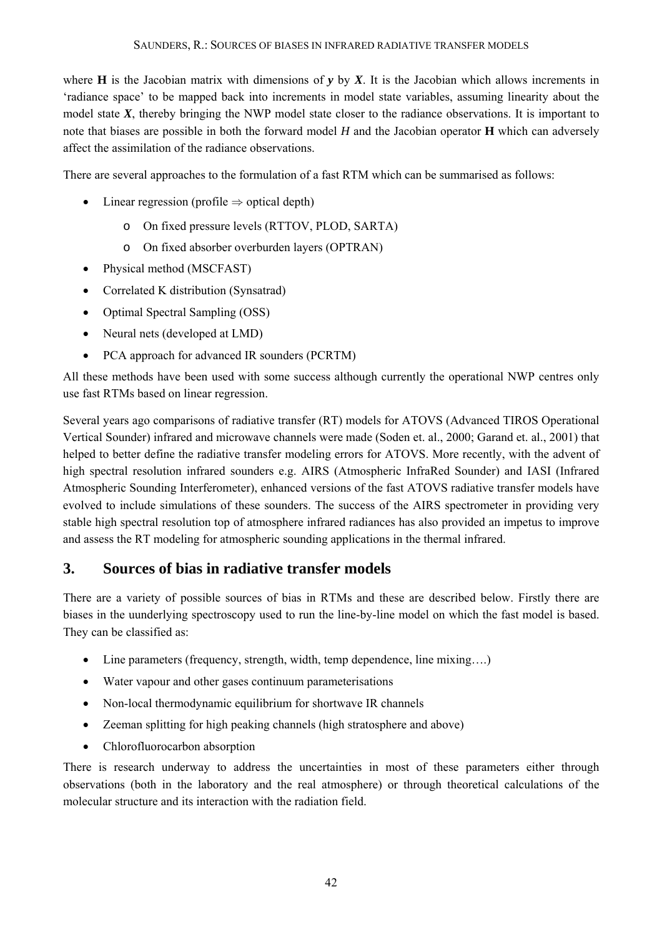where **H** is the Jacobian matrix with dimensions of  $y$  by  $X$ . It is the Jacobian which allows increments in 'radiance space' to be mapped back into increments in model state variables, assuming linearity about the model state *X*, thereby bringing the NWP model state closer to the radiance observations. It is important to note that biases are possible in both the forward model *H* and the Jacobian operator **H** which can adversely affect the assimilation of the radiance observations.

There are several approaches to the formulation of a fast RTM which can be summarised as follows:

- Linear regression (profile  $\Rightarrow$  optical depth)
	- o On fixed pressure levels (RTTOV, PLOD, SARTA)
	- o On fixed absorber overburden layers (OPTRAN)
- Physical method (MSCFAST)
- Correlated K distribution (Synsatrad)
- Optimal Spectral Sampling (OSS)
- Neural nets (developed at LMD)
- PCA approach for advanced IR sounders (PCRTM)

All these methods have been used with some success although currently the operational NWP centres only use fast RTMs based on linear regression.

Several years ago comparisons of radiative transfer (RT) models for ATOVS (Advanced TIROS Operational Vertical Sounder) infrared and microwave channels were made (Soden et. al., 2000; Garand et. al., 2001) that helped to better define the radiative transfer modeling errors for ATOVS. More recently, with the advent of high spectral resolution infrared sounders e.g. AIRS (Atmospheric InfraRed Sounder) and IASI (Infrared Atmospheric Sounding Interferometer), enhanced versions of the fast ATOVS radiative transfer models have evolved to include simulations of these sounders. The success of the AIRS spectrometer in providing very stable high spectral resolution top of atmosphere infrared radiances has also provided an impetus to improve and assess the RT modeling for atmospheric sounding applications in the thermal infrared.

## **3. Sources of bias in radiative transfer models**

There are a variety of possible sources of bias in RTMs and these are described below. Firstly there are biases in the uunderlying spectroscopy used to run the line-by-line model on which the fast model is based. They can be classified as:

- Line parameters (frequency, strength, width, temp dependence, line mixing....)
- Water vapour and other gases continuum parameterisations
- Non-local thermodynamic equilibrium for shortwave IR channels
- Zeeman splitting for high peaking channels (high stratosphere and above)
- Chlorofluorocarbon absorption

There is research underway to address the uncertainties in most of these parameters either through observations (both in the laboratory and the real atmosphere) or through theoretical calculations of the molecular structure and its interaction with the radiation field.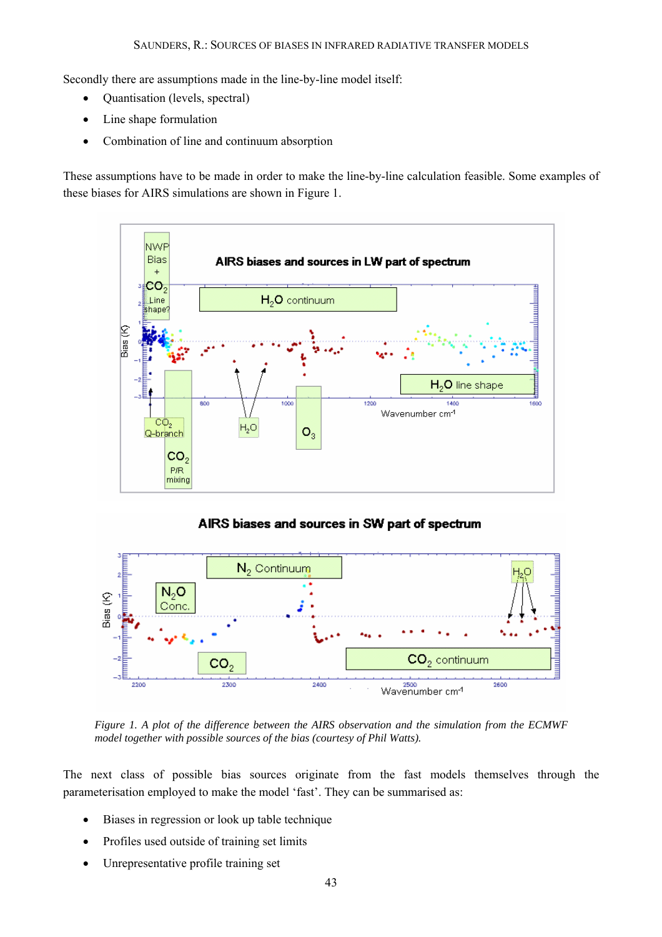Secondly there are assumptions made in the line-by-line model itself:

- Quantisation (levels, spectral)
- Line shape formulation
- Combination of line and continuum absorption

These assumptions have to be made in order to make the line-by-line calculation feasible. Some examples of these biases for AIRS simulations are shown in Figure 1.





*Figure 1. A plot of the difference between the AIRS observation and the simulation from the ECMWF model together with possible sources of the bias (courtesy of Phil Watts).* 

The next class of possible bias sources originate from the fast models themselves through the parameterisation employed to make the model 'fast'. They can be summarised as:

- Biases in regression or look up table technique
- Profiles used outside of training set limits
- Unrepresentative profile training set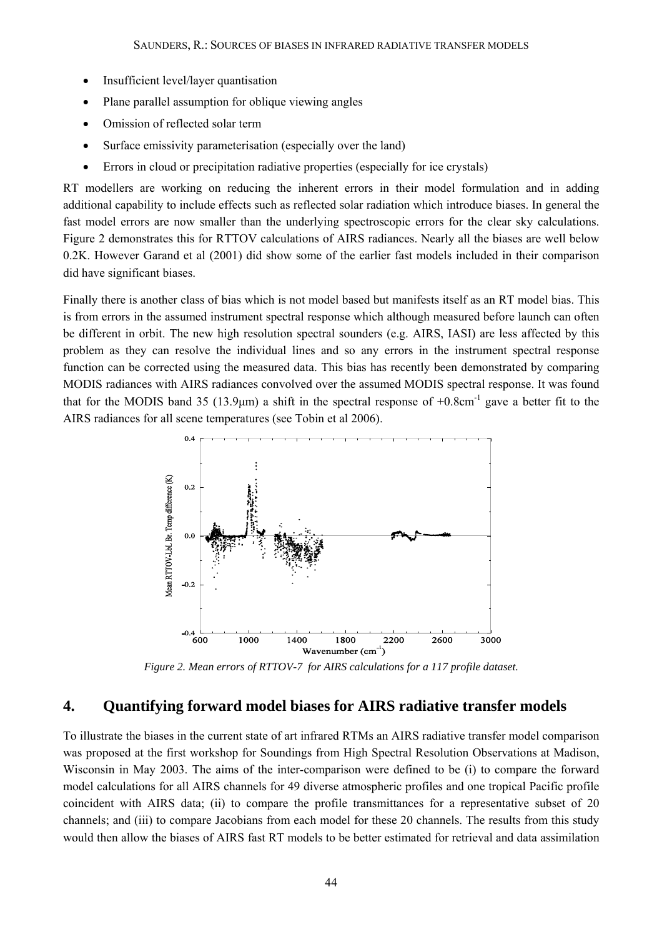- Insufficient level/layer quantisation
- Plane parallel assumption for oblique viewing angles
- Omission of reflected solar term
- Surface emissivity parameterisation (especially over the land)
- Errors in cloud or precipitation radiative properties (especially for ice crystals)

RT modellers are working on reducing the inherent errors in their model formulation and in adding additional capability to include effects such as reflected solar radiation which introduce biases. In general the fast model errors are now smaller than the underlying spectroscopic errors for the clear sky calculations. Figure 2 demonstrates this for RTTOV calculations of AIRS radiances. Nearly all the biases are well below 0.2K. However Garand et al (2001) did show some of the earlier fast models included in their comparison did have significant biases.

Finally there is another class of bias which is not model based but manifests itself as an RT model bias. This is from errors in the assumed instrument spectral response which although measured before launch can often be different in orbit. The new high resolution spectral sounders (e.g. AIRS, IASI) are less affected by this problem as they can resolve the individual lines and so any errors in the instrument spectral response function can be corrected using the measured data. This bias has recently been demonstrated by comparing MODIS radiances with AIRS radiances convolved over the assumed MODIS spectral response. It was found that for the MODIS band 35 (13.9 $\mu$ m) a shift in the spectral response of  $+0.8$ cm<sup>-1</sup> gave a better fit to the AIRS radiances for all scene temperatures (see Tobin et al 2006).



*Figure 2. Mean errors of RTTOV-7 for AIRS calculations for a 117 profile dataset.* 

## **4. Quantifying forward model biases for AIRS radiative transfer models**

To illustrate the biases in the current state of art infrared RTMs an AIRS radiative transfer model comparison was proposed at the first workshop for Soundings from High Spectral Resolution Observations at Madison, Wisconsin in May 2003. The aims of the inter-comparison were defined to be (i) to compare the forward model calculations for all AIRS channels for 49 diverse atmospheric profiles and one tropical Pacific profile coincident with AIRS data; (ii) to compare the profile transmittances for a representative subset of 20 channels; and (iii) to compare Jacobians from each model for these 20 channels. The results from this study would then allow the biases of AIRS fast RT models to be better estimated for retrieval and data assimilation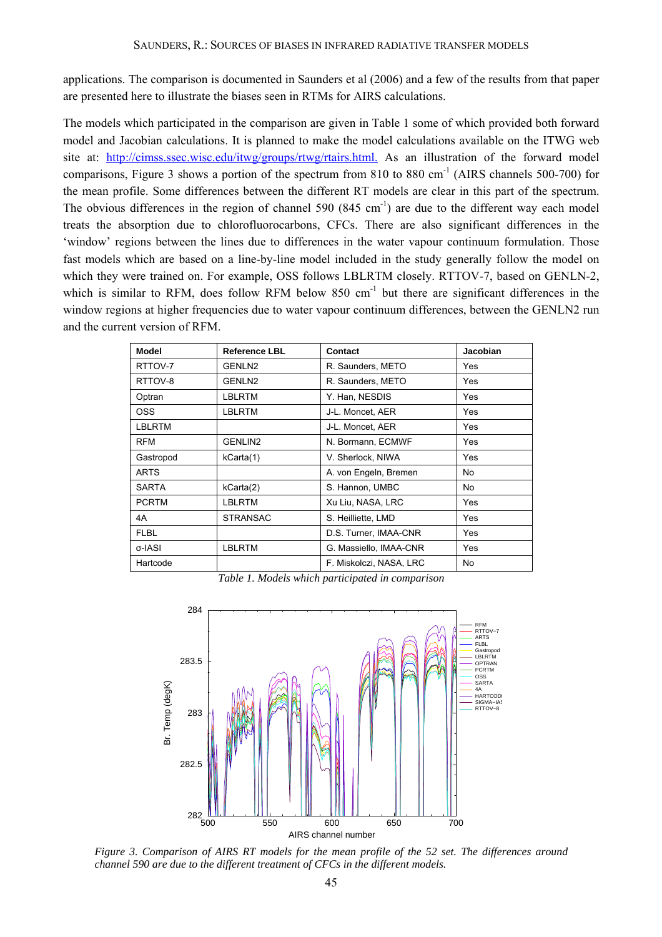applications. The comparison is documented in Saunders et al (2006) and a few of the results from that paper are presented here to illustrate the biases seen in RTMs for AIRS calculations.

The models which participated in the comparison are given in Table 1 some of which provided both forward model and Jacobian calculations. It is planned to make the model calculations available on the ITWG web site at: http://cimss.ssec.wisc.edu/itwg/groups/rtwg/rtairs.html. As an illustration of the forward model comparisons, Figure 3 shows a portion of the spectrum from 810 to 880 cm<sup>-1</sup> (AIRS channels 500-700) for the mean profile. Some differences between the different RT models are clear in this part of the spectrum. The obvious differences in the region of channel 590  $(845 \text{ cm}^{-1})$  are due to the different way each model treats the absorption due to chlorofluorocarbons, CFCs. There are also significant differences in the 'window' regions between the lines due to differences in the water vapour continuum formulation. Those fast models which are based on a line-by-line model included in the study generally follow the model on which they were trained on. For example, OSS follows LBLRTM closely. RTTOV-7, based on GENLN-2, which is similar to RFM, does follow RFM below 850 cm<sup>-1</sup> but there are significant differences in the window regions at higher frequencies due to water vapour continuum differences, between the GENLN2 run and the current version of RFM.

| <b>Model</b>  | <b>Reference LBL</b> | Contact                 | <b>Jacobian</b> |
|---------------|----------------------|-------------------------|-----------------|
| RTTOV-7       | GENLN2               | R. Saunders, METO       | Yes             |
| RTTOV-8       | GENLN2               | R. Saunders, METO       | Yes             |
| Optran        | <b>LBLRTM</b>        | Y. Han, NESDIS          | Yes             |
| <b>OSS</b>    | LBLRTM               | J-L. Moncet, AER        | Yes             |
| <b>LBLRTM</b> |                      | J-L. Moncet, AER        | Yes             |
| <b>RFM</b>    | <b>GENLIN2</b>       | N. Bormann, ECMWF       | Yes             |
| Gastropod     | kCarta(1)            | V. Sherlock, NIWA       | Yes             |
| <b>ARTS</b>   |                      | A. von Engeln, Bremen   | No.             |
| <b>SARTA</b>  | kCarta(2)            | S. Hannon, UMBC         | No              |
| <b>PCRTM</b>  | LBLRTM               | Xu Liu, NASA, LRC       | Yes             |
| 4A            | <b>STRANSAC</b>      | S. Heilliette, LMD      | Yes             |
| <b>FLBL</b>   |                      | D.S. Turner, IMAA-CNR   | Yes             |
| σ-IASI        | <b>LBLRTM</b>        | G. Massiello, IMAA-CNR  | Yes             |
| Hartcode      |                      | F. Miskolczi, NASA, LRC | No              |

*Table 1. Models which participated in comparison* 



 *Figure 3. Comparison of AIRS RT models for the mean profile of the 52 set. The differences around channel 590 are due to the different treatment of CFCs in the different models.*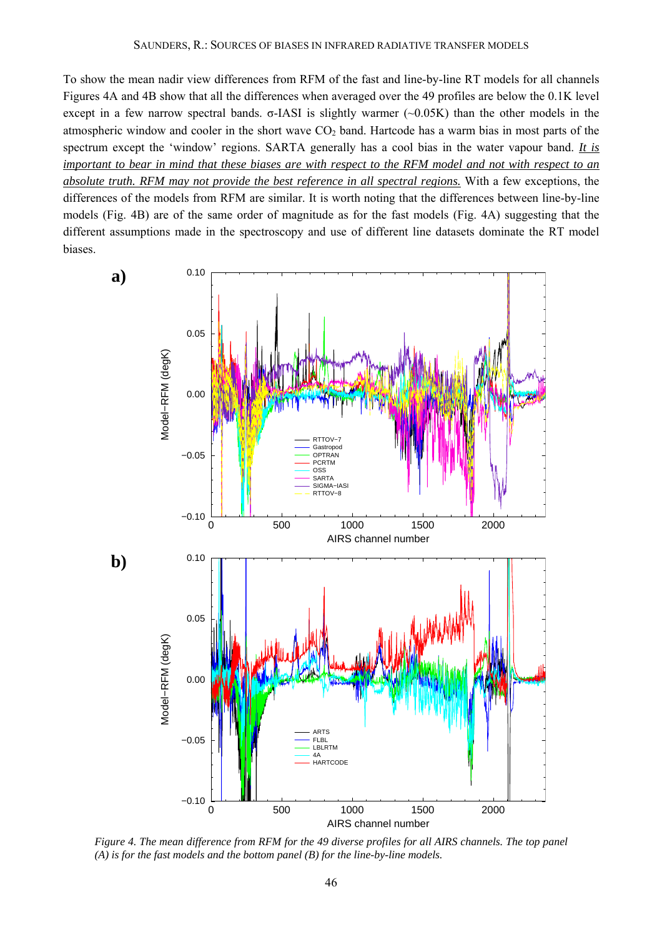To show the mean nadir view differences from RFM of the fast and line-by-line RT models for all channels Figures 4A and 4B show that all the differences when averaged over the 49 profiles are below the 0.1K level except in a few narrow spectral bands.  $σ$ -IASI is slightly warmer ( $~0.05K$ ) than the other models in the atmospheric window and cooler in the short wave  $CO<sub>2</sub>$  band. Hartcode has a warm bias in most parts of the spectrum except the 'window' regions. SARTA generally has a cool bias in the water vapour band. *It is important to bear in mind that these biases are with respect to the RFM model and not with respect to an absolute truth. RFM may not provide the best reference in all spectral regions.* With a few exceptions, the differences of the models from RFM are similar. It is worth noting that the differences between line-by-line models (Fig. 4B) are of the same order of magnitude as for the fast models (Fig. 4A) suggesting that the different assumptions made in the spectroscopy and use of different line datasets dominate the RT model biases.



*Figure 4. The mean difference from RFM for the 49 diverse profiles for all AIRS channels. The top panel (A) is for the fast models and the bottom panel (B) for the line-by-line models.*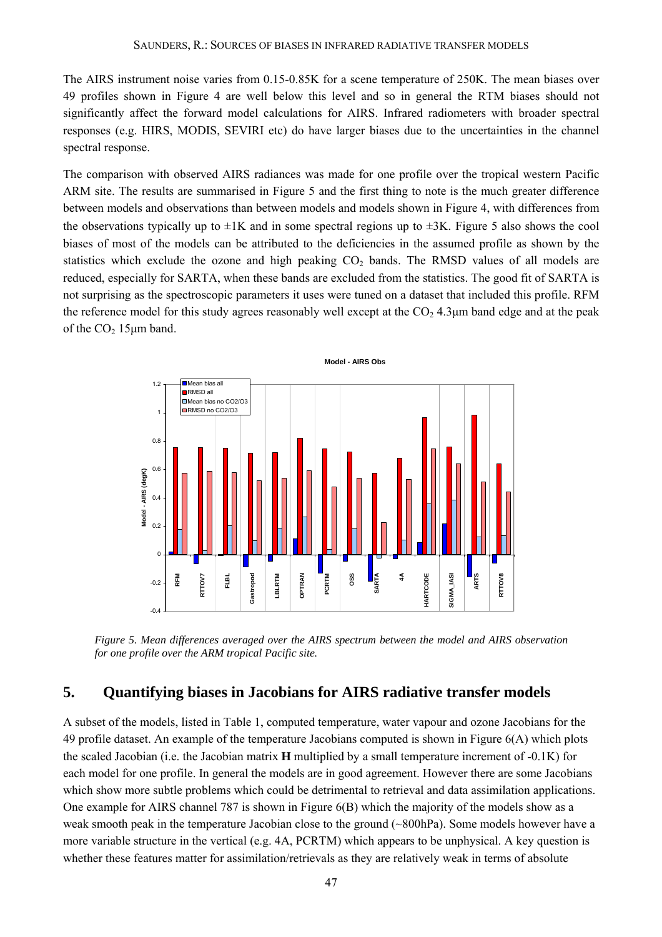The AIRS instrument noise varies from 0.15-0.85K for a scene temperature of 250K. The mean biases over 49 profiles shown in Figure 4 are well below this level and so in general the RTM biases should not significantly affect the forward model calculations for AIRS. Infrared radiometers with broader spectral responses (e.g. HIRS, MODIS, SEVIRI etc) do have larger biases due to the uncertainties in the channel spectral response.

The comparison with observed AIRS radiances was made for one profile over the tropical western Pacific ARM site. The results are summarised in Figure 5 and the first thing to note is the much greater difference between models and observations than between models and models shown in Figure 4, with differences from the observations typically up to  $\pm 1K$  and in some spectral regions up to  $\pm 3K$ . Figure 5 also shows the cool biases of most of the models can be attributed to the deficiencies in the assumed profile as shown by the statistics which exclude the ozone and high peaking  $CO<sub>2</sub>$  bands. The RMSD values of all models are reduced, especially for SARTA, when these bands are excluded from the statistics. The good fit of SARTA is not surprising as the spectroscopic parameters it uses were tuned on a dataset that included this profile. RFM the reference model for this study agrees reasonably well except at the  $CO<sub>2</sub> 4.3 \mu m$  band edge and at the peak of the  $CO<sub>2</sub> 15 \mu m$  band.



*Figure 5. Mean differences averaged over the AIRS spectrum between the model and AIRS observation for one profile over the ARM tropical Pacific site.* 

## **5. Quantifying biases in Jacobians for AIRS radiative transfer models**

A subset of the models, listed in Table 1, computed temperature, water vapour and ozone Jacobians for the 49 profile dataset. An example of the temperature Jacobians computed is shown in Figure 6(A) which plots the scaled Jacobian (i.e. the Jacobian matrix **H** multiplied by a small temperature increment of -0.1K) for each model for one profile. In general the models are in good agreement. However there are some Jacobians which show more subtle problems which could be detrimental to retrieval and data assimilation applications. One example for AIRS channel 787 is shown in Figure 6(B) which the majority of the models show as a weak smooth peak in the temperature Jacobian close to the ground (~800hPa). Some models however have a more variable structure in the vertical (e.g. 4A, PCRTM) which appears to be unphysical. A key question is whether these features matter for assimilation/retrievals as they are relatively weak in terms of absolute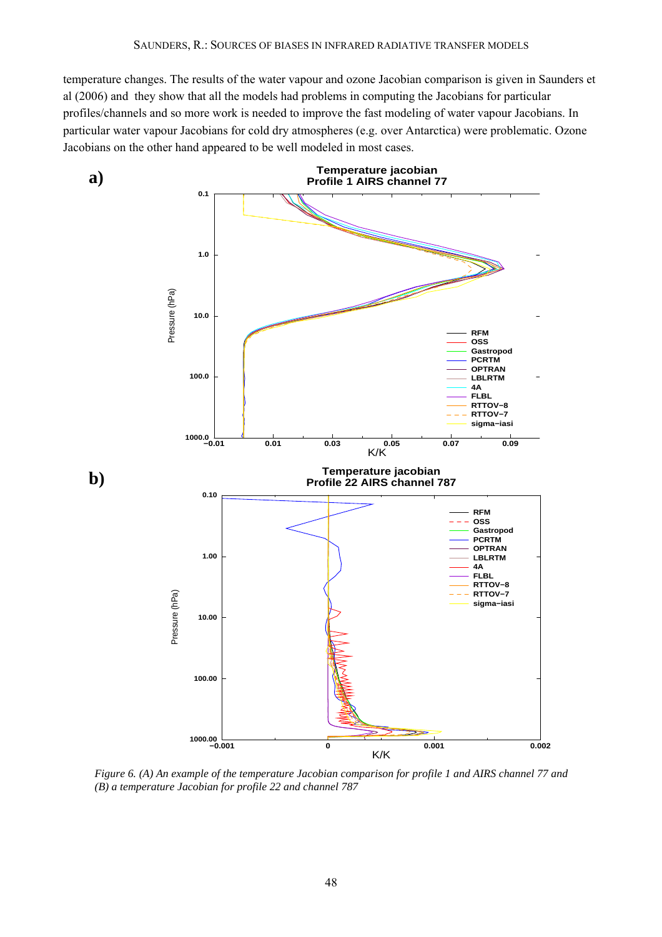temperature changes. The results of the water vapour and ozone Jacobian comparison is given in Saunders et al (2006) and they show that all the models had problems in computing the Jacobians for particular profiles/channels and so more work is needed to improve the fast modeling of water vapour Jacobians. In particular water vapour Jacobians for cold dry atmospheres (e.g. over Antarctica) were problematic. Ozone Jacobians on the other hand appeared to be well modeled in most cases.



*Figure 6. (A) An example of the temperature Jacobian comparison for profile 1 and AIRS channel 77 and (B) a temperature Jacobian for profile 22 and channel 787*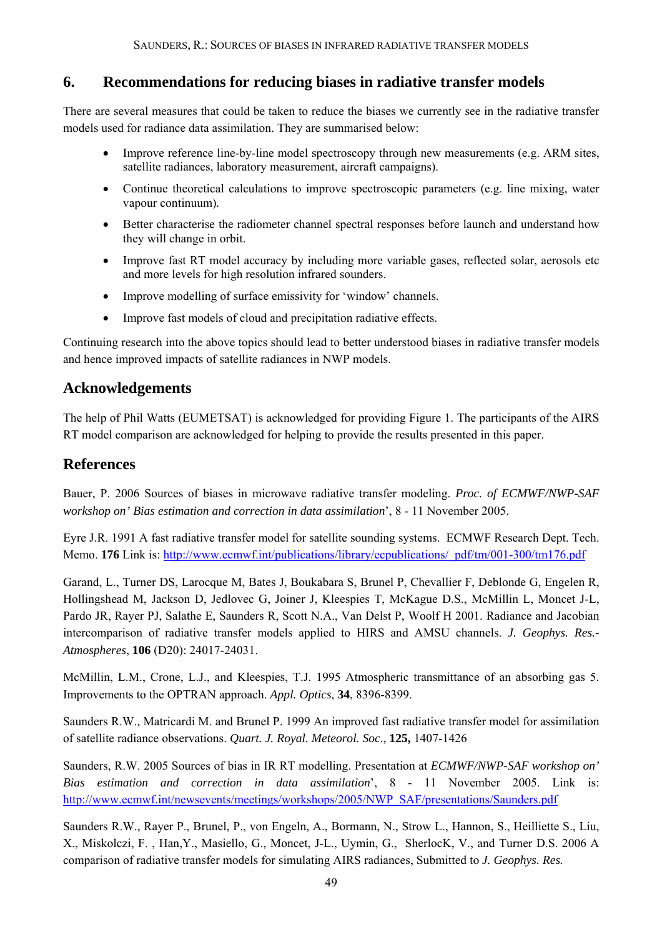# **6. Recommendations for reducing biases in radiative transfer models**

There are several measures that could be taken to reduce the biases we currently see in the radiative transfer models used for radiance data assimilation. They are summarised below:

- Improve reference line-by-line model spectroscopy through new measurements (e.g. ARM sites, satellite radiances, laboratory measurement, aircraft campaigns).
- Continue theoretical calculations to improve spectroscopic parameters (e.g. line mixing, water vapour continuum)*.*
- Better characterise the radiometer channel spectral responses before launch and understand how they will change in orbit.
- Improve fast RT model accuracy by including more variable gases, reflected solar, aerosols etc and more levels for high resolution infrared sounders.
- Improve modelling of surface emissivity for 'window' channels.
- Improve fast models of cloud and precipitation radiative effects.

Continuing research into the above topics should lead to better understood biases in radiative transfer models and hence improved impacts of satellite radiances in NWP models.

# **Acknowledgements**

The help of Phil Watts (EUMETSAT) is acknowledged for providing Figure 1. The participants of the AIRS RT model comparison are acknowledged for helping to provide the results presented in this paper.

# **References**

Bauer, P. 2006 Sources of biases in microwave radiative transfer modeling. *Proc. of ECMWF/NWP-SAF workshop on' Bias estimation and correction in data assimilation*', 8 - 11 November 2005.

Eyre J.R. 1991 A fast radiative transfer model for satellite sounding systems. ECMWF Research Dept. Tech. Memo. **176** Link is: http://www.ecmwf.int/publications/library/ecpublications/\_pdf/tm/001-300/tm176.pdf

Garand, L., Turner DS, Larocque M, Bates J, Boukabara S, Brunel P, Chevallier F, Deblonde G, Engelen R, Hollingshead M, Jackson D, Jedlovec G, Joiner J, Kleespies T, McKague D.S., McMillin L, Moncet J-L, Pardo JR, Rayer PJ, Salathe E, Saunders R, Scott N.A., Van Delst P, Woolf H 2001. Radiance and Jacobian intercomparison of radiative transfer models applied to HIRS and AMSU channels. *J. Geophys. Res.- Atmospheres*, **106** (D20): 24017-24031.

McMillin, L.M., Crone, L.J., and Kleespies, T.J. 1995 Atmospheric transmittance of an absorbing gas 5. Improvements to the OPTRAN approach. *Appl. Optics*, **34**, 8396-8399.

Saunders R.W., Matricardi M. and Brunel P. 1999 An improved fast radiative transfer model for assimilation of satellite radiance observations. *Quart. J. Royal. Meteorol. Soc*., **125,** 1407-1426

Saunders, R.W. 2005 Sources of bias in IR RT modelling. Presentation at *ECMWF/NWP-SAF workshop on' Bias estimation and correction in data assimilation*', 8 - 11 November 2005. Link is: http://www.ecmwf.int/newsevents/meetings/workshops/2005/NWP\_SAF/presentations/Saunders.pdf

Saunders R.W., Rayer P., Brunel, P., von Engeln, A., Bormann, N., Strow L., Hannon, S., Heilliette S., Liu, X., Miskolczi, F. , Han,Y., Masiello, G., Moncet, J-L., Uymin, G., SherlocK, V., and Turner D.S. 2006 A comparison of radiative transfer models for simulating AIRS radiances, Submitted to *J. Geophys. Res.*